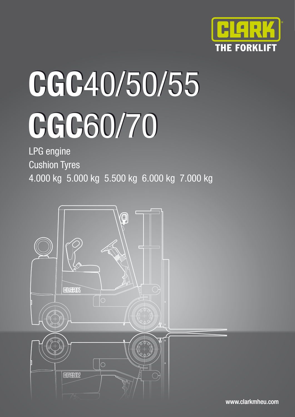

# **CGC**40/50/55 **CGC**40/50/55 **CGC**60/70

LPG engine Cushion Tyres

4.000 kg 5.000 kg 5.500 kg 6.000 kg 7.000 kg



www.clarkmheu.com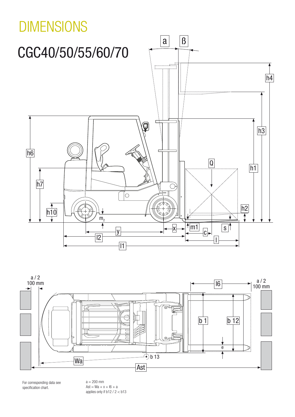



For corresponding data see specification chart.

 $a = 200$  mm  $\text{Ast} = \text{Wa} + x + \text{I6} + a$ applies only if b12 / 2 < b13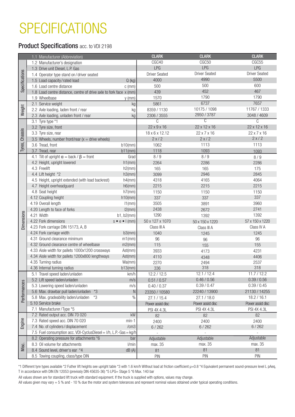# SPECIFICATIONS

#### Product Specifications acc. to VDI 2198

|        | 1.1 Manufacturer (Abbreviation)                                    |                              | <b>CLARK</b>            | <b>CLARK</b>         | <b>CLARK</b>         |
|--------|--------------------------------------------------------------------|------------------------------|-------------------------|----------------------|----------------------|
|        | 1.2 Manufacturer's designation                                     |                              | CGC40                   | CGC <sub>50</sub>    | CGC55                |
|        | 1.3 Drive unit Diesel, L.P. Gas                                    |                              | LPG                     | LPG                  | LPG                  |
|        | 1.4 Operator type stand on/driver seated                           |                              | <b>Driver Seated</b>    | <b>Driver Seated</b> | <b>Driver Seated</b> |
|        | 1.5 Load capacity/rated load                                       | $Q$ (kg)                     | 4000                    | 4990                 | 5500                 |
|        | 1.6 Load centre distance                                           | $c$ (mm)                     | 500                     | 500                  | 600                  |
|        | 1.8 Load centre distance, centre of drive axle to fork face x (mm) |                              | 439                     | 452                  | 467                  |
|        | 1.9 Wheelbase                                                      | $y$ (mm)                     | 1570                    | 1790                 | 1790                 |
|        | 2.1 Service weight                                                 | k <sub>0</sub>               | 5861                    | 6737                 | 7657                 |
|        | 2.2 Axle loading, laden front / rear                               |                              | 8359 / 1130             | 10175 / 1098         | 11767 / 1333         |
|        | 2.3 Axle loading, unladen front / rear                             |                              | 2306 / 3555             | 2950 / 3787          | 3048 / 4609          |
|        | 3.1 Tyre type *1                                                   |                              | C                       |                      | C                    |
|        | 3.2 Tyre size, front                                               |                              | $22 \times 9 \times 16$ | 22 x 12 x 16         | 22 x 12 x 16         |
|        | 3.3 Tyre size, rear                                                |                              | 18 x 6 x 12.12          | 22 x 7 x 16          | 22 x 7 x 16          |
|        | 3.5 Wheels, number front/rear $(x =$ drive wheels)                 |                              | 2x/2                    | 2x/2                 | 2x/2                 |
|        | 3.6 Tread, front                                                   | $b10$ (mm)                   | 1062                    | 1113                 | 1113                 |
|        | 3.7 Tread, rear                                                    | $b11$ (mm)                   | 1118                    | 1093                 | 1093                 |
|        | 4.1 Tilt of upright $\alpha$ = back / $\beta$ = front              | Grad                         | 8/9                     | 8/9                  | 8/9                  |
|        | 4.2 Height, upright lowered                                        | h1(mm)                       | 2264                    | 2286                 | 2286                 |
|        | 4.3 Freelift                                                       | $h2$ (mm)                    | 165                     | 165                  | 175                  |
|        | 4.4 Lift height *2                                                 | h3(mm)                       | 3099                    | 2946                 | 2845                 |
|        | 4.5 Height, upright extended (with load backrest)                  | h4(mm)                       | 4318                    | 4165                 | 4064                 |
|        | 4.7 Height overheadguard                                           | $h6$ (mm)                    | 2215                    | 2215                 | 2215                 |
|        | 4.8 Seat height                                                    | $h7$ (mm)                    | 1150                    | 1150                 | 1150                 |
|        | 4.12 Coupling height                                               | $h10$ (mm)                   | 337                     | 337                  | 337                  |
|        | 4.19 Overall length                                                | $11$ (mm)                    | 3505                    | 3891                 | 3960                 |
|        | 4.20 Length to face of forks                                       | $12$ (mm)                    | 2438                    | 2672                 | 2741                 |
|        | 4.21 Width                                                         | $b1, b2$ (mm)                | 1290                    | 1392                 | 1392                 |
|        | 4.22 Fork dimensions                                               | $s \bullet e \bullet I$ (mm) | 50 x 127 x 1070         | 50 x 150 x 1220      | 57 x 150 x 1220      |
|        | 4.23 Fork carriage DIN 15173, A, B                                 |                              | Class III A             | Class III A          | Class IV A           |
|        | 4.24 Fork carriage width                                           | $b3$ (mm)                    | 1040                    | 1245                 | 1245                 |
|        | 4.31 Ground clearance minimum                                      | $m1$ (mm)                    | 96                      | 96                   | 96                   |
|        | 4.32 Ground clearance centre of wheelbase                          | $m2$ (mm)                    | 115                     | 155                  | 155                  |
|        | 4.33 Aisle width for pallets 1000x1200 crossways                   | Ast(mm)                      | 3933                    | 4173                 | 4231                 |
|        | 4.34 Aisle width for pallets 1200x800 lengthways                   | Ast(mm)                      | 4110                    | 4348                 | 4406                 |
|        | 4.35 Turning radius                                                | Wa(mm)                       | 2270                    | 2494                 | 2537                 |
|        | 4.36 Internal turning radius                                       | $b13$ (mm)                   | 336                     | 318                  | 318                  |
|        | 5.1 Travel speed laden/unladen                                     | km/h                         | 12.2 / 12.5             | 12.1 / 12.4          | 11.7 / 12.2          |
|        | 5.2 Lift speed laden/unladen                                       | m/s                          | 0.51 / 0.57             | 0.46 / 0.56          | 0.39 / 0.56          |
|        | 5.3 Lowering speed laden/unladen                                   | m/s                          | 0.40 / 0.37             | 0.39 / 0.47          | 0.39 / 0.45          |
|        | 5.6 Max. drawbar pull laden/unladen *3                             |                              | 23350 / 10580           | 22240 / 13900        | 21130 / 14255        |
|        | 5.8 Max. gradeability laden/unladen *3                             |                              | 27.1 / 15.4             | 27.1 / 18.0          | 18.2 / 16.1          |
|        | 5.10 Service brake                                                 |                              | Power assist disc       | Power assist disc    | Power assist disc    |
|        | 7.1 Manufacturer/Type *5                                           |                              | PSI 4X 4.3L             | PSI 4X 4.3L          | PSI 4X 4.3L          |
|        | 7.2 Rated output acc. DIN 70 020                                   | kW                           | 82                      | 82                   | 82                   |
|        | 7.3 Rated speed acc. DIN 70 020                                    | $min-1$                      | 2400                    | 2400                 | 2400                 |
| Engine | 7.4 No. of cylinders/displacement                                  | /cm3                         | 6/262                   | $6/262$              | $6/262$              |
|        | 7.5 Fuel consumption acc. VDI-CyclusDiesel = I/h, L.P.-Gas = kg/h  |                              | $\sim$                  | $\sim$               | $\sim$               |
|        | 8.2 Operating pressure for attachments *6                          | bar                          | Adjustable              | Adjustable           | Adjustable           |
|        | 8.3 Oil volume for attachments                                     | l/min                        | max. 35                 | max. 35              | max. 35              |
| Misc.  | 8.4 Sound level, driver's ear *4                                   | dB(A)                        | 81                      | 81                   | 81                   |
|        | 8.5 Towing coupling, class/type DIN                                |                              | PIN                     | PIN                  | PIN                  |
|        |                                                                    |                              |                         |                      |                      |

\*1 Different tyre types available \*2 Futher lift heights see upright table \*3 with 1.6 km/h Without load at friction coefficient  $\mu$ =0.8 \*4 Equivalent permanent sound-pressure level L pAeq, T in accordance with DIN EN 12053 (previosly DIN 45635-36) \*5 LPG= Stage 5 \*6 Max. 140 bar

All values shown are for standard lift truck with standard equipment. If the truck is supplied with options, values may change.

All values given may vary + 5 % and - 10 % due the motor and system tolerances and represent nominal values obtained under typical operating conditions.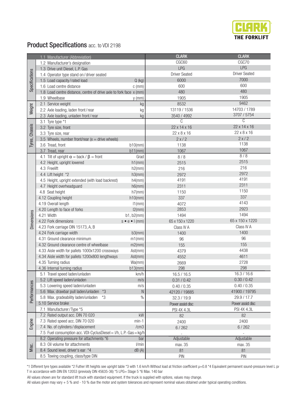

## Product Specifications acc. to VDI 2198

|                   | 1.1 Manufacturer (Abbreviation)                                    |                              | <b>CLARK</b>                 | <b>CLARK</b>            |
|-------------------|--------------------------------------------------------------------|------------------------------|------------------------------|-------------------------|
|                   | 1.2 Manufacturer's designation                                     |                              | CGC60                        | CGC70                   |
|                   | 1.3 Drive unit Diesel, L.P. Gas                                    |                              | <b>LPG</b>                   | LPG                     |
|                   | 1.4 Operator type stand on/driver seated                           |                              | <b>Driver Seated</b>         | <b>Driver Seated</b>    |
| Specifications    | 1.5 Load capacity/rated load                                       | $Q$ (kg)                     | 6000                         | 7000                    |
|                   | 1.6 Load centre distance                                           | $c$ (mm)                     | 600                          | 600                     |
|                   | 1.8 Load centre distance, centre of drive axle to fork face x (mm) |                              | 480                          | 480                     |
|                   | 1.9 Wheelbase                                                      | $y$ (mm)                     | 1905                         | 1905                    |
|                   | 2.1 Service weight                                                 | kg                           | 8532                         | 9462                    |
| Weight            | 2.2 Axle loading, laden front/rear                                 | kg                           | 13119 / 1536                 | 14703 / 1789            |
|                   | 2.3 Axle loading, unladen front/rear                               | kg                           | 3540 / 4992                  | 3707 / 5754             |
|                   | 3.1 Tyre type *1                                                   |                              | C                            | $\overline{\mathbb{C}}$ |
| Tyres, Chassis    | 3.2 Tyre size, front                                               |                              | 22 x 14 x 16                 | 22 x 14 x 16            |
|                   | 3.3 Tyre size, rear                                                |                              | 22 x 8 x 16                  | 22 x 8 x 16             |
|                   | 3.5 Wheels, number front/rear ( $x =$ drive wheels)                |                              | 2x/2                         | 2x/2                    |
|                   | 3.6 Tread, front                                                   | $b10$ (mm)                   | 1138                         | 1138                    |
|                   | 3.7 Tread, rear                                                    | $b11$ (mm)                   | 1067                         | 1067                    |
|                   | 4.1 Tilt of upright $\alpha$ = back / $\beta$ = front              | Grad                         | 8/8                          | 8/8                     |
|                   | 4.2 Height, upright lowered                                        | h1(mm)                       | 2515                         | 2515                    |
|                   | 4.3 Freelift                                                       | h2(mm)                       | 216                          | 216                     |
|                   | 4.4 Lift height *2                                                 | h3(mm)                       | 2972                         | 2972                    |
|                   | 4.5 Height, upright extended (with load backrest)                  | h4(mm)                       | 4191                         | 4191                    |
|                   | 4.7 Height overheadguard                                           | $h6$ (mm)                    | 2311                         | 2311                    |
|                   | 4.8 Seat height                                                    | $h7$ (mm)                    | 1150                         | 1150                    |
|                   | 4.12 Coupling height                                               | h10(mm)                      | 337                          | 337                     |
|                   | 4.19 Overall length                                                | $11$ (mm)                    | 4072                         | 4143                    |
|                   | 4.20 Length to face of forks                                       | $12$ (mm)                    | 2853                         | 2923                    |
|                   | 4.21 Width                                                         | b1, b2(mm)                   | 1494                         | 1494                    |
| <b>Dimensions</b> | 4.22 Fork dimensions                                               | $s \bullet e \bullet I$ (mm) | 65 x 150 x 1220              | 65 x 150 x 1220         |
|                   | 4.23 Fork carriage DIN 15173, A, B                                 |                              | Class IV A                   | Class IV A              |
|                   | 4.24 Fork carriage width                                           | b3(mm)                       | 1400                         | 1400                    |
|                   | 4.31 Ground clearance minimum                                      | $m1$ (mm)                    | 96                           | 96                      |
|                   | 4.32 Ground clearance centre of wheelbase                          | $m2$ (mm)                    | 155                          | 155                     |
|                   | 4.33 Aisle width for pallets 1000x1200 crossways                   | Ast(mm)                      | 4379                         | 4438                    |
|                   | 4.34 Aisle width for pallets 1200x800 lengthways                   | Ast(mm)                      | 4552                         | 4611                    |
|                   | 4.35 Turning radius                                                | Wa(mm)                       | 2669                         | 2728<br>298             |
|                   | 4.36 Internal turning radius                                       | $b13$ (mm)                   | 298                          | 16.3 / 16.6             |
|                   | 5.1 Travel speed laden/unladen<br>5.2 Lift speed laden/unladen     | km/h<br>m/s                  | 16.5 / 16.5<br>0.31 / 0.42   | 0.30 / 0.42             |
|                   | 5.3 Lowering speed laden/unladen                                   | m/s                          | 0.40 / 0.35                  | 0.40 / 0.35             |
|                   | 5.6 Max. drawbar pull laden/unladen<br>$*3$                        | N                            |                              | 41900 / 19795           |
| Performances      | 5.8 Max. gradeability laden/unladen<br>*3                          | $\frac{0}{0}$                | 42120 / 19885<br>32.3 / 19.9 | 29.9 / 17.7             |
|                   | 5.10 Service brake                                                 |                              | Power assist disc            | Power assist disc       |
|                   | 7.1 Manufacturer/Type *5                                           |                              | PSI 4X 4.3L                  | PSI 4X 4.3L             |
|                   | 7.2 Rated output acc. DIN 70 020                                   | kW                           | 82                           | 82                      |
|                   | 7.3 Rated speed acc. DIN 70 020                                    | $min-1$                      | 2400                         | 2400                    |
| Engine            | 7.4 No. of cylinders/displacement                                  | /cm3                         | 6/262                        | 6/262                   |
|                   | 7.5 Fuel consumption acc. VDI-CyclusDiesel = I/h, L.P.-Gas = kg/h  |                              |                              |                         |
|                   | 8.2 Operating pressure for attachments *6                          | bar                          | Adjustable                   | Adjustable              |
|                   | 8.3 Oil volume for attachments                                     | l/min                        | max. 35                      | max. 35                 |
| Misc.             | 8.4 Sound level, driver's ear *4                                   | dB(A)                        | 81                           | 81                      |
|                   | 8.5 Towing coupling, class/type DIN                                |                              | PIN                          | PIN                     |

\*1 Different tyre types available \*2 Futher lift heights see upright table \*3 with 1.6 km/h Without load at friction coefficient µ=0.8 \*4 Equivalent permanent sound-pressure level L p/ T in accordance with DIN EN 12053 (previosly DIN 45635-36) \*5 LPG= Stage 5 \*6 Max. 140 bar

All values shown are for standard lift truck with standard equipment. If the truck is supplied with options, values may change.

All values given may vary + 5 % and - 10 % due the motor and system tolerances and represent nominal values obtained under typical operating conditions.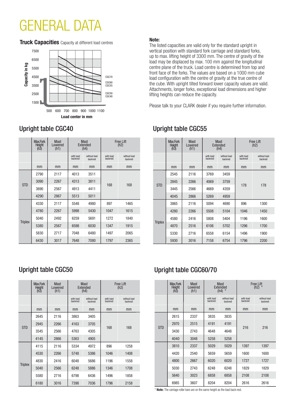# GENERAL DATA

**Truck Capacities** Capacity at different load centres **Note:** 



|                | Max.Fork<br><b>Height</b><br>(h3) | <b>Mast</b><br>Lowered<br>(h1) | <b>Mast</b><br>Extended<br>(h4) |                          | <b>Free Lift</b><br>(h2) |                          |  |
|----------------|-----------------------------------|--------------------------------|---------------------------------|--------------------------|--------------------------|--------------------------|--|
|                |                                   |                                | with load<br>backrest           | without load<br>backrest | with load<br>backrest    | without load<br>backrest |  |
|                | mm                                | mm                             | mm                              | mm                       | mm                       | mm                       |  |
|                | 2790                              | 2117                           | 4013                            | 3511                     |                          | 168                      |  |
| <b>STD</b>     | 3090                              | 2267                           | 4313                            | 3811                     |                          |                          |  |
|                | 3690                              | 2567                           | 4913                            | 4411                     | 168                      |                          |  |
|                | 4290                              | 2867                           | 5513                            | 5011                     |                          |                          |  |
|                | 4330                              | 2117                           | 5548                            | 4980                     | 897                      | 1465                     |  |
| <b>Triplex</b> | 4780                              | 2267                           | 5998                            | 5430                     | 1047                     | 1615                     |  |
|                | 5040                              | 2492                           | 6259                            | 5691                     | 1272                     | 1840                     |  |
|                | 5380                              | 2567                           | 6598                            | 6030                     | 1347                     | 1915                     |  |
|                | 5830                              | 2717                           | 7048                            | 6480                     | 1497                     | 2065                     |  |
|                | 6430                              | 3017                           | 7648                            | 7080                     | 1797                     | 2365                     |  |

The listed capacities are valid only for the standard upright in vertical position with standard fork carriage and standard forks, up to max. lifting height of 3300 mm. The centre of gravity of the load may be displaced by max. 100 mm against the longitudinal centre plane of the truck. Load centre is determined from top and front face of the forks. The values are based on a 1000 mm cube load configuration with the centre of gravity at the true centre of the cube. With upright tilted forward lower capacity values are valid. Attachments, longer forks, exceptional load dimensions and higher lifting heights can reduce the capacity.

Please talk to your CLARK dealer if you require further information.

|                | Max.Fork<br><b>Height</b><br>(h3) | <b>Mast</b><br>Lowered<br>(h1) | Mast<br><b>Extended</b><br>(h4) |                          | Free Lift<br>(h2)     |                          |  |
|----------------|-----------------------------------|--------------------------------|---------------------------------|--------------------------|-----------------------|--------------------------|--|
|                |                                   |                                | with load<br>backrest           | without load<br>backrest | with load<br>backrest | without load<br>backrest |  |
|                | mm                                | mm                             | mm                              | mm                       | mm                    | mm                       |  |
|                | 2545                              | 2116                           | 3769                            | 3459                     |                       | 178                      |  |
| <b>STD</b>     | 2845                              | 2266                           | 4069                            | 3759                     | 178                   |                          |  |
|                | 3445                              | 2566                           | 4669                            | 4359                     |                       |                          |  |
|                | 4045                              | 2866                           | 5269                            | 4959                     |                       |                          |  |
|                | 3865                              | 2116                           | 5094                            | 4690                     | 896                   | 1300                     |  |
| <b>Triplex</b> | 4280                              | 2266                           | 5508                            | 5104                     | 1046                  | 1450                     |  |
|                | 4580                              | 2416                           | 5808                            | 5404                     | 1196                  | 1600                     |  |
|                | 4870                              | 2516                           | 6106                            | 5702                     | 1296                  | 1700                     |  |
|                | 5330                              | 2716                           | 6558                            | 6154                     | 1496                  | 1900                     |  |
|                | 5930                              | 3016                           | 7158                            | 6754                     | 1796                  | 2200                     |  |

### Upright table CGC40 Upright table CGC55

## Upright table CGC50 Upright table CGC60/70

| Max.Fork<br><b>Height</b><br>(h3) | <b>Mast</b><br>Lowered<br>(h1) | <b>Mast</b><br><b>Extended</b><br>$(h4)$ * |                          | Free Lift<br>(h2) $*$ |                          |
|-----------------------------------|--------------------------------|--------------------------------------------|--------------------------|-----------------------|--------------------------|
|                                   |                                | with load<br>backrest                      | without load<br>backrest | with load<br>backrest | without load<br>backrest |
| mm                                | mm                             | mm                                         | mm                       | mm                    | mm                       |
| 2615                              | 2337                           | 3835                                       | 3835                     | 216                   | 216                      |
| 2970                              | 2515                           | 4191                                       | 4191                     |                       |                          |
| <b>STD</b><br>3430                | 2743                           | 4648                                       | 4648                     |                       |                          |
| 4040                              | 3048                           | 5258                                       | 5258                     |                       |                          |
| 3810                              | 2337                           | 5029                                       | 5029                     | 1397                  | 1397                     |
| 4420                              | 2540                           | 5659                                       | 5659                     | 1600                  | 1600                     |
| 4800                              | 2667                           | 6020                                       | 6020                     | 1727                  | 1727                     |
| 5030                              | 2743                           | 6248                                       | 6248                     | 1829                  | 1829                     |
| 5640                              | 3023                           | 6858                                       | 6858                     | 2108                  | 2108                     |
| 6985                              | 3607                           | 8204                                       | 8204                     | 2616                  | 2616                     |

|                | Max.Fork<br><b>Height</b><br>(h3) | <b>Mast</b><br>Lowered<br>(h1) | <b>Mast</b><br><b>Extended</b><br>(h4) |                          | <b>Free Lift</b><br>(h2) |                          |  |
|----------------|-----------------------------------|--------------------------------|----------------------------------------|--------------------------|--------------------------|--------------------------|--|
|                |                                   |                                | with load<br>backrest                  | without load<br>backrest | with load<br>backrest    | without load<br>backrest |  |
|                | mm                                | mm                             | mm                                     | mm                       | mm                       | mm                       |  |
| <b>STD</b>     | 2645                              | 2116                           | 3863                                   | 3405                     |                          | 168                      |  |
|                | 2945                              | 2266                           | 4163                                   | 3705                     |                          |                          |  |
|                | 3545                              | 2566                           | 4763                                   | 4305                     | 168                      |                          |  |
|                | 4145                              | 2866                           | 5363                                   | 4905                     |                          |                          |  |
|                | 4115                              | 2116                           | 5334                                   | 4972                     | 896                      | 1258                     |  |
| <b>Triplex</b> | 4530                              | 2266                           | 5748                                   | 5386                     | 1046                     | 1408                     |  |
|                | 4830                              | 2416                           | 6048                                   | 5686                     | 1196                     | 1558                     |  |
|                | 5040                              | 2566                           | 6248                                   | 5886                     | 1346                     | 1708                     |  |
|                | 5580                              | 2716                           | 6798                                   | 6436                     | 1496                     | 1858                     |  |
|                | 6180                              | 3016                           | 7398                                   | 7036                     | 1796                     | 2158                     |  |

\* **Note:** The carriage roller bars are on the same height as the load back rest.